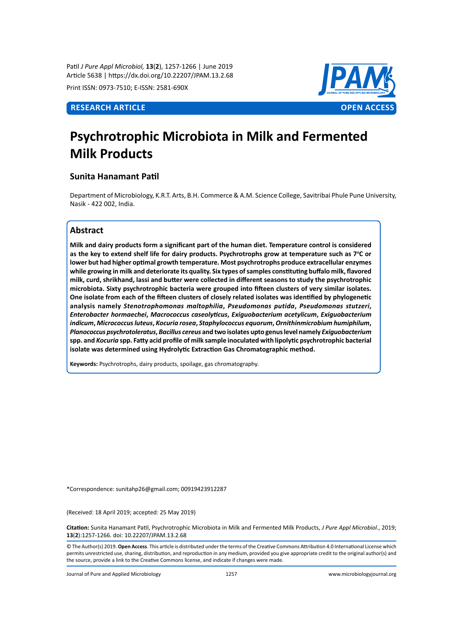Patil *J Pure Appl Microbiol,* **13**(**2**), 1257-1266 | June 2019 Article 5638 | https://dx.doi.org/10.22207/JPAM.13.2.68

Print ISSN: 0973-7510; E-ISSN: 2581-690X



# **Psychrotrophic Microbiota in Milk and Fermented Milk Products**

# **Sunita Hanamant Patil**

Department of Microbiology, K.R.T. Arts, B.H. Commerce & A.M. Science College, Savitribai Phule Pune University, Nasik - 422 002, India.

# **Abstract**

**Milk and dairy products form a significant part of the human diet. Temperature control is considered**  as the key to extend shelf life for dairy products. Psychrotrophs grow at temperature such as 7°C or **lower but had higher optimal growth temperature. Most psychrotrophs produce extracellular enzymes while growing in milk and deteriorate its quality. Six types of samples constituting buffalo milk, flavored milk, curd, shrikhand, lassi and butter were collected in different seasons to study the psychrotrophic microbiota. Sixty psychrotrophic bacteria were grouped into fifteen clusters of very similar isolates. One isolate from each of the fifteen clusters of closely related isolates was identified by phylogenetic analysis namely** *Stenotrophomonas maltophilia***,** *Pseudomonas putida***,** *Pseudomonas stutzeri***,**  *Enterobacter hormaechei***,** *Macrococcus caseolyticus***,** *Exiguobacterium acetylicum***,** *Exiguobacterium indicum***,** *Micrococcus luteus***,** *Kocuria rosea***,** *Staphylococcus equorum***,** *Ornithinmicrobium humiphilum***,**  *Planococcus psychrotoleratus***,** *Bacillus cereus* **and two isolates upto genus level namely** *Exiguobacterium* **spp. and** *Kocuria* **spp. Fatty acid profile of milk sample inoculated with lipolytic psychrotrophic bacterial isolate was determined using Hydrolytic Extraction Gas Chromatographic method.**

**Keywords:** Psychrotrophs, dairy products, spoilage, gas chromatography.

\*Correspondence: sunitahp26@gmail.com; 00919423912287

(Received: 18 April 2019; accepted: 25 May 2019)

**Citation:** Sunita Hanamant Patil, Psychrotrophic Microbiota in Milk and Fermented Milk Products, *J Pure Appl Microbiol*., 2019; **13**(**2**):1257-1266. doi: 10.22207/JPAM.13.2.68

© The Author(s) 2019. **Open Access**. This article is distributed under the terms of the Creative Commons Attribution 4.0 International License which permits unrestricted use, sharing, distribution, and reproduction in any medium, provided you give appropriate credit to the original author(s) and the source, provide a link to the Creative Commons license, and indicate if changes were made.

Journal of Pure and Applied Microbiology 1257 www.microbiologyjournal.org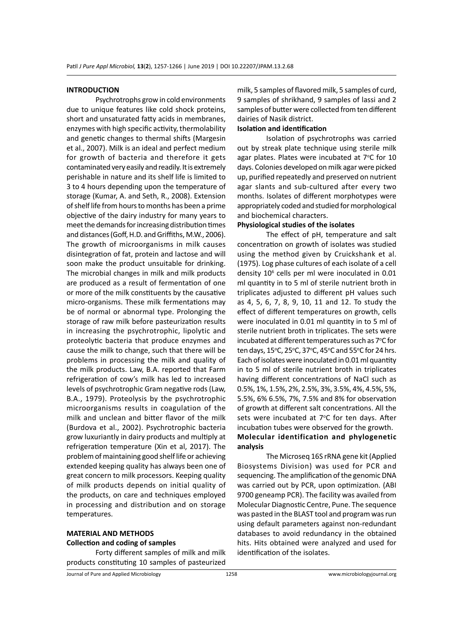#### **INTRODUCTION**

Psychrotrophs grow in cold environments due to unique features like cold shock proteins, short and unsaturated fatty acids in membranes, enzymes with high specific activity, thermolability and genetic changes to thermal shifts (Margesin et al., 2007). Milk is an ideal and perfect medium for growth of bacteria and therefore it gets contaminated very easily and readily. It is extremely perishable in nature and its shelf life is limited to 3 to 4 hours depending upon the temperature of storage (Kumar, A. and Seth, R., 2008). Extension of shelf life from hours to months has been a prime objective of the dairy industry for many years to meet the demands for increasing distribution times and distances (Goff, H.D. and Griffiths, M.W., 2006). The growth of microorganisms in milk causes disintegration of fat, protein and lactose and will soon make the product unsuitable for drinking. The microbial changes in milk and milk products are produced as a result of fermentation of one or more of the milk constituents by the causative micro-organisms. These milk fermentations may be of normal or abnormal type. Prolonging the storage of raw milk before pasteurization results in increasing the psychrotrophic, lipolytic and proteolytic bacteria that produce enzymes and cause the milk to change, such that there will be problems in processing the milk and quality of the milk products. Law, B.A. reported that Farm refrigeration of cow's milk has led to increased levels of psychrotrophic Gram negative rods (Law, B.A., 1979). Proteolysis by the psychrotrophic microorganisms results in coagulation of the milk and unclean and bitter flavor of the milk (Burdova et al., 2002). Psychrotrophic bacteria grow luxuriantly in dairy products and multiply at refrigeration temperature (Xin et al, 2017). The problem of maintaining good shelf life or achieving extended keeping quality has always been one of great concern to milk processors. Keeping quality of milk products depends on initial quality of the products, on care and techniques employed in processing and distribution and on storage temperatures.

# **MATERIAL AND METHODS Collection and coding of samples**

Forty different samples of milk and milk products constituting 10 samples of pasteurized milk, 5 samples of flavored milk, 5 samples of curd, 9 samples of shrikhand, 9 samples of lassi and 2 samples of butter were collected from ten different dairies of Nasik district.

# **Isolation and identification**

Isolation of psychrotrophs was carried out by streak plate technique using sterile milk agar plates. Plates were incubated at 7°C for 10 days. Colonies developed on milk agar were picked up, purified repeatedly and preserved on nutrient agar slants and sub-cultured after every two months. Isolates of different morphotypes were appropriately coded and studied for morphological and biochemical characters.

# **Physiological studies of the isolates**

The effect of pH, temperature and salt concentration on growth of isolates was studied using the method given by Cruickshank et al. (1975). Log phase cultures of each isolate of a cell density 10<sup>6</sup> cells per ml were inoculated in 0.01 ml quantity in to 5 ml of sterile nutrient broth in triplicates adjusted to different pH values such as 4, 5, 6, 7, 8, 9, 10, 11 and 12. To study the effect of different temperatures on growth, cells were inoculated in 0.01 ml quantity in to 5 ml of sterile nutrient broth in triplicates. The sets were incubated at different temperatures such as 7°C for ten days, 15°C, 25°C, 37°C, 45°C and 55°C for 24 hrs. Each of isolates were inoculated in 0.01 ml quantity in to 5 ml of sterile nutrient broth in triplicates having different concentrations of NaCl such as 0.5%, 1%, 1.5%, 2%, 2.5%, 3%, 3.5%, 4%, 4.5%, 5%, 5.5%, 6% 6.5%, 7%, 7.5% and 8% for observation of growth at different salt concentrations. All the sets were incubated at 7°C for ten days. After incubation tubes were observed for the growth. **Molecular identification and phylogenetic analysis**

The Microseq 16S rRNA gene kit (Applied Biosystems Division) was used for PCR and sequencing. The amplification of the genomic DNA was carried out by PCR, upon optimization. (ABI 9700 geneamp PCR). The facility was availed from Molecular Diagnostic Centre, Pune. The sequence was pasted in the BLAST tool and program was run using default parameters against non-redundant databases to avoid redundancy in the obtained hits. Hits obtained were analyzed and used for identification of the isolates.

Journal of Pure and Applied Microbiology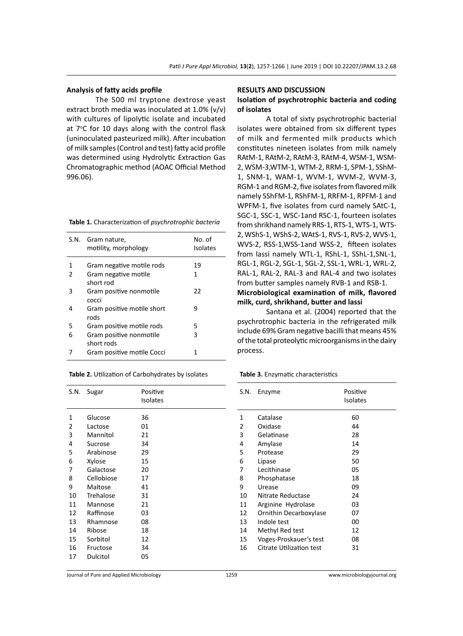# **Analysis of fatty acids profile**

The 500 ml tryptone dextrose yeast extract broth media was inoculated at  $1.0\%$  (v/v) with cultures of lipolytic isolate and incubated at 7°C for 10 days along with the control flask (uninoculated pasteurized milk). After incubation of milk samples (Control and test) fatty acid profile was determined using Hydrolytic Extraction Gas Chromatographic method (AOAC Official Method 996.06).

| S.N. | Gram nature,<br>motility, morphology  | No. of<br><b>Isolates</b> |
|------|---------------------------------------|---------------------------|
| 1    | Gram negative motile rods             | 19                        |
| 2    | Gram negative motile<br>short rod     | 1                         |
| 3    | Gram positive nonmotile<br>cocci      | 22                        |
| 4    | Gram positive motile short<br>rods    | 9                         |
| 5    | Gram positive motile rods             | 5                         |
| 6    | Gram positive nonmotile<br>short rods | 3                         |
|      | Gram positive motile Cocci            | 1                         |

| Table 2. Utilization of Carbohydrates by isolates |  |  |
|---------------------------------------------------|--|--|
|---------------------------------------------------|--|--|

| S.N. | Sugar      | Positive<br><b>Isolates</b> |
|------|------------|-----------------------------|
| 1    | Glucose    | 36                          |
| 2    | Lactose    | 01                          |
| 3    | Mannitol   | 21                          |
| 4    | Sucrose    | 34                          |
| 5    | Arabinose  | 29                          |
| 6    | Xylose     | 15                          |
| 7    | Galactose  | 20                          |
| 8    | Cellobiose | 17                          |
| 9    | Maltose    | 41                          |
| 10   | Trehalose  | 31                          |
| 11   | Mannose    | 21                          |
| 12   | Raffinose  | 03                          |
| 13   | Rhamnose   | 08                          |
| 14   | Ribose     | 18                          |
| 15   | Sorbitol   | 12                          |
| 16   | Fructose   | 34                          |
| 17   | Dulcitol   | 05                          |

#### **RESULTS AND DISCUSSION**

# **Isolation of psychrotrophic bacteria and coding of isolates**

A total of sixty psychrotrophic bacterial isolates were obtained from six different types of milk and fermented milk products which constitutes nineteen isolates from milk namely RAtM-1, RAtM-2, RAtM-3, RAtM-4, WSM-1, WSM-2, WSM-3,WTM-1, WTM-2, RRM-1, SPM-1, SShM-1, SNM-1, WAM-1, WVM-1, WVM-2, WVM-3, RGM-1 and RGM-2, five isolates from flavored milk namely SShFM-1, RShFM-1, RRFM-1, RPFM-1 and WPFM-1, five isolates from curd namely SAtC-1, SGC-1, SSC-1, WSC-1and RSC-1, fourteen isolates from shrikhand namely RRS-1, RTS-1, WTS-1, WTS-2, WShS-1, WShS-2, WAtS-1, RVS-1, RVS-2, WVS-1, WVS-2, RSS-1,WSS-1and WSS-2, fifteen isolates from lassi namely WTL-1, RShL-1, SShL-1,SNL-1, RGL-1, RGL-2, SGL-1, SGL-2, SSL-1, WRL-1, WRL-2, RAL-1, RAL-2, RAL-3 and RAL-4 and two isolates from butter samples namely RVB-1 and RSB-1. **Microbiological examination of milk, flavored milk, curd, shrikhand, butter and lassi**

Santana et al. (2004) reported that the psychrotrophic bacteria in the refrigerated milk include 69% Gram negative bacilli that means 45% of the total proteolytic microorganisms in the dairy process.

**Table 3.** Enzymatic characteristics

| S.N. | Enzyme                   | Positive<br>Isolates |
|------|--------------------------|----------------------|
| 1    | Catalase                 | 60                   |
| 2    | Oxidase                  | 44                   |
| 3    | Gelatinase               | 28                   |
| 4    | Amylase                  | 14                   |
| 5    | Protease                 | 29                   |
| 6    | Lipase                   | 50                   |
| 7    | Lecithinase              | 05                   |
| 8    | Phosphatase              | 18                   |
| 9    | Urease                   | 09                   |
| 10   | Nitrate Reductase        | 24                   |
| 11   | Arginine Hydrolase       | 03                   |
| 12   | Ornithin Decarboxylase   | 07                   |
| 13   | Indole test              | 00                   |
| 14   | Methyl Red test          | 12                   |
| 15   | Voges-Proskauer's test   | 08                   |
| 16   | Citrate Utilization test | 31                   |
|      |                          |                      |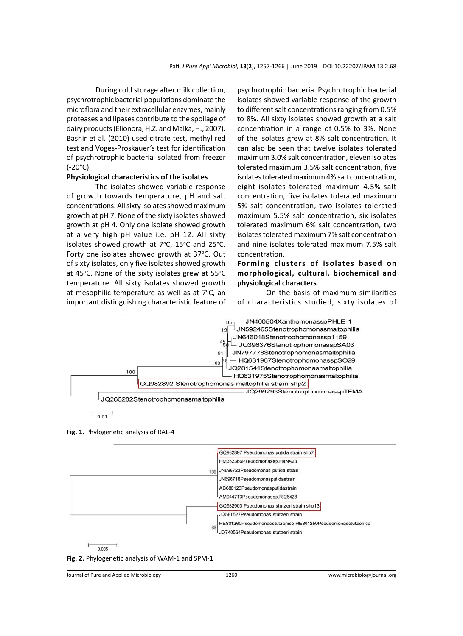During cold storage after milk collection, psychrotrophic bacterial populations dominate the microflora and their extracellular enzymes, mainly proteases and lipases contribute to the spoilage of dairy products (Elionora, H.Z. and Malka, H., 2007). Bashir et al. (2010) used citrate test, methyl red test and Voges-Proskauer's test for identification of psychrotrophic bacteria isolated from freezer (-20°C).

# **Physiological characteristics of the isolates**

The isolates showed variable response of growth towards temperature, pH and salt concentrations. All sixty isolates showed maximum growth at pH 7. None of the sixty isolates showed growth at pH 4. Only one isolate showed growth at a very high pH value i.e. pH 12. All sixty isolates showed growth at  $7^{\circ}$ C,  $15^{\circ}$ C and  $25^{\circ}$ C. Forty one isolates showed growth at 37°C. Out of sixty isolates, only five isolates showed growth at 45°C. None of the sixty isolates grew at 55°C temperature. All sixty isolates showed growth at mesophilic temperature as well as at 7°C, an important distinguishing characteristic feature of psychrotrophic bacteria. Psychrotrophic bacterial isolates showed variable response of the growth to different salt concentrations ranging from 0.5% to 8%. All sixty isolates showed growth at a salt concentration in a range of 0.5% to 3%. None of the isolates grew at 8% salt concentration. It can also be seen that twelve isolates tolerated maximum 3.0% salt concentration, eleven isolates tolerated maximum 3.5% salt concentration, five isolates tolerated maximum 4% salt concentration, eight isolates tolerated maximum 4.5% salt concentration, five isolates tolerated maximum 5% salt concentration, two isolates tolerated maximum 5.5% salt concentration, six isolates tolerated maximum 6% salt concentration, two isolates tolerated maximum 7% salt concentration and nine isolates tolerated maximum 7.5% salt concentration.

# **Forming clusters of isolates based on morphological, cultural, biochemical and physiological characters**

On the basis of maximum similarities of characteristics studied, sixty isolates of



**Fig. 1.** Phylogenetic analysis of RAL-4





Journal of Pure and Applied Microbiology 1260 www.microbiologyjournal.org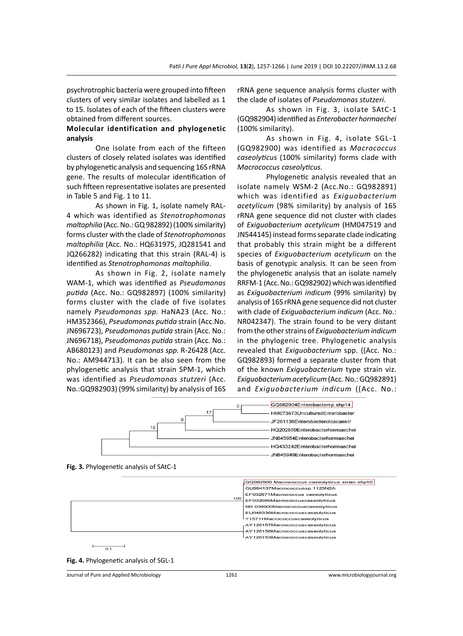psychrotrophic bacteria were grouped into fifteen clusters of very similar isolates and labelled as 1 to 15. Isolates of each of the fifteen clusters were obtained from different sources.

# **Molecular identification and phylogenetic analysis**

One isolate from each of the fifteen clusters of closely related isolates was identified by phylogenetic analysis and sequencing 16S rRNA gene. The results of molecular identification of such fifteen representative isolates are presented in Table 5 and Fig. 1 to 11.

As shown in Fig. 1, isolate namely RAL-4 which was identified as *Stenotrophomonas maltophilia* (Acc. No.: GQ 982892) (100% similarity) forms cluster with the clade of *Stenotrophomonas maltophilia* (Acc. No.: HQ631975, JQ281541 and JQ266282) indicating that this strain (RAL-4) is identified as *Stenotrophomonas maltophilia*.

As shown in Fig. 2, isolate namely WAM-1, which was identified as *Pseudomonas putida* (Acc. No.: GQ982897) (100% similarity) forms cluster with the clade of five isolates namely *Pseudomonas spp.* HaNA23 (Acc. No.: HM352366), *Pseudomonas putida* strain (Acc.No. JN696723), *Pseudomonas putida* strain (Acc. No.: JN696718), *Pseudomonas putida* strain (Acc. No.: AB680123) and *Pseudomonas spp.* R-26428 (Acc. No.: AM944713). It can be also seen from the phylogenetic analysis that strain SPM-1, which was identified as *Pseudomonas stutzeri* (Acc. No.:GQ982903) (99% similarity) by analysis of 16S rRNA gene sequence analysis forms cluster with the clade of isolates of *Pseudomonas stutzeri*.

As shown in Fig. 3, isolate SAtC-1 (GQ982904) identified as *Enterobacter hormaechei* (100% similarity).

As shown in Fig. 4, isolate SGL-1 (GQ982900) was identified as *Macrococcus caseolyticus* (100% similarity) forms clade with *Macrococcus caseolyticus.*

Phylogenetic analysis revealed that an isolate namely WSM-2 (Acc.No.: GQ982891) which was identified as *Exiguobacterium acetylicum* (98% similarity) by analysis of 16S rRNA gene sequence did not cluster with clades of *Exiguobacterium acetylicum* (HM047519 and JN544145) instead forms separate clade indicating that probably this strain might be a different species of *Exiguobacterium acetylicum* on the basis of genotypic analysis. It can be seen from the phylogenetic analysis that an isolate namely RRFM-1 (Acc. No.: GQ982902) which was identified as *Exiguobacterium indicum* (99% similarity) by analysis of 16S rRNA gene sequence did not cluster with clade of *Exiguobacterium indicum* (Acc. No.: NR042347). The strain found to be very distant from the other strains of *Exiguobacteriumindicum* in the phylogenic tree. Phylogenetic analysis revealed that *Exiguobacterium* spp. ((Acc. No.: GQ982893) formed a separate cluster from that of the known *Exiguobacterium* type strain viz. *Exiguobacteriumacetylicum* (Acc. No.: GQ982891) and *Exiguobacterium indicum* ((Acc. No.:







**Fig. 4.** Phylogenetic analysis of SGL-1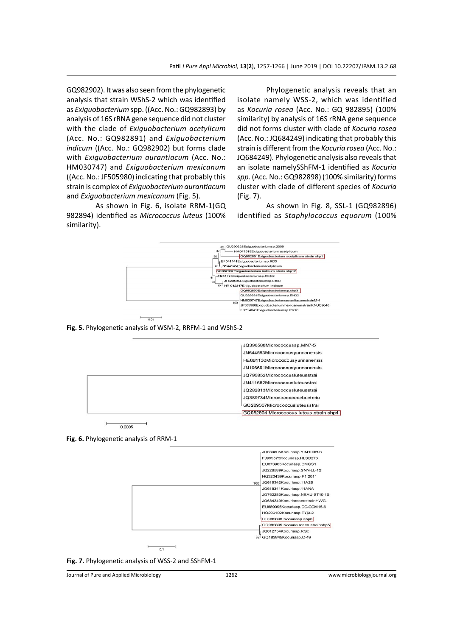GQ982902). It was also seen from the phylogenetic analysis that strain WShS-2 which was identified as *Exiguobacterium* spp. ((Acc. No.: GQ982893) by analysis of 16S rRNA gene sequence did not cluster with the clade of *Exiguobacterium acetylicum* (Acc. No.: GQ982891) and *Exiguobacterium indicum* ((Acc. No.: GQ982902) but forms clade with *Exiguobacterium aurantiacum* (Acc. No.: HM030747) and *Exiguobacterium mexicanum* ((Acc. No.: JF505980) indicating that probably this strain is complex of *Exiguobacterium aurantiacum* and *Exiguobacterium mexicanum* (Fig. 5).

As shown in Fig. 6, isolate RRM-1(GQ 982894) identified as *Micrococcus luteus* (100% similarity).

Phylogenetic analysis reveals that an isolate namely WSS-2, which was identified as *Kocuria rosea* (Acc. No.: GQ 982895) (100% similarity) by analysis of 16S rRNA gene sequence did not forms cluster with clade of *Kocuria rosea* (Acc. No.: JQ684249) indicating that probably this strain is different from the *Kocuria rosea* (Acc. No.: JQ684249). Phylogenetic analysis also reveals that an isolate namelySShFM-1 identified as *Kocuria spp.* (Acc. No.: GQ982898) (100% similarity) forms cluster with clade of different species of *Kocuria*  (Fig. 7).

As shown in Fig. 8, SSL-1 (GQ982896) identified as *Staphylococcus equorum* (100%



**Fig. 5.** Phylogenetic analysis of WSM-2, RRFM-1 and WShS-2



0.0005





**Fig. 7.** Phylogenetic analysis of WSS-2 and SShFM-1

Journal of Pure and Applied Microbiology 1262 www.microbiologyjournal.org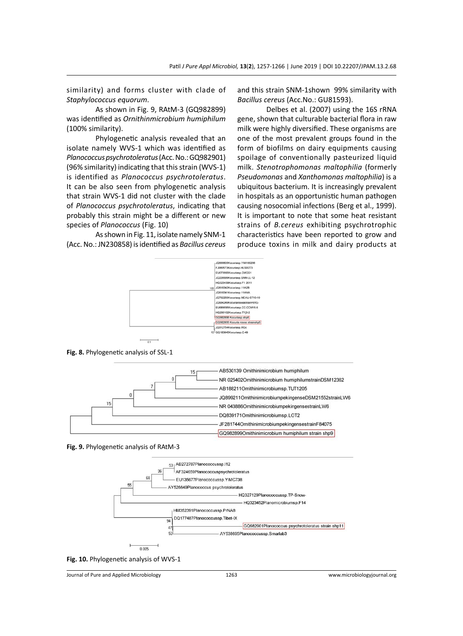similarity) and forms cluster with clade of *Staphylococcus equorum*.

As shown in Fig. 9, RAtM-3 (GQ982899) was identified as *Ornithinmicrobium humiphilum* (100% similarity).

Phylogenetic analysis revealed that an isolate namely WVS-1 which was identified as *Planococcus psychrotoleratus* (Acc. No.: GQ982901) (96% similarity) indicating that this strain (WVS-1) is identified as *Planococcus psychrotoleratus*. It can be also seen from phylogenetic analysis that strain WVS-1 did not cluster with the clade of *Planococcus psychrotoleratus*, indicating that probably this strain might be a different or new species of *Planococcus* (Fig. 10)

As shown in Fig. 11, isolate namely SNM-1 (Acc. No.: JN230858) is identified as *Bacillus cereus* and this strain SNM-1shown 99% similarity with *Bacillus cereus* (Acc.No.: GU81593).

Delbes et al. (2007) using the 16S rRNA gene, shown that culturable bacterial flora in raw milk were highly diversified. These organisms are one of the most prevalent groups found in the form of biofilms on dairy equipments causing spoilage of conventionally pasteurized liquid milk. *Stenotrophomonas maltophilia* (formerly *Pseudomonas* and *Xanthomonas maltophilia*) is a ubiquitous bacterium. It is increasingly prevalent in hospitals as an opportunistic human pathogen causing nosocomial infections (Berg et al., 1999). It is important to note that some heat resistant strains of *B.cereus* exhibiting psychrotrophic characteristics have been reported to grow and produce toxins in milk and dairy products at



**Fig. 8.** Phylogenetic analysis of SSL-1



**Fig. 9.** Phylogenetic analysis of RAtM-3





Journal of Pure and Applied Microbiology 1263 www.microbiologyjournal.org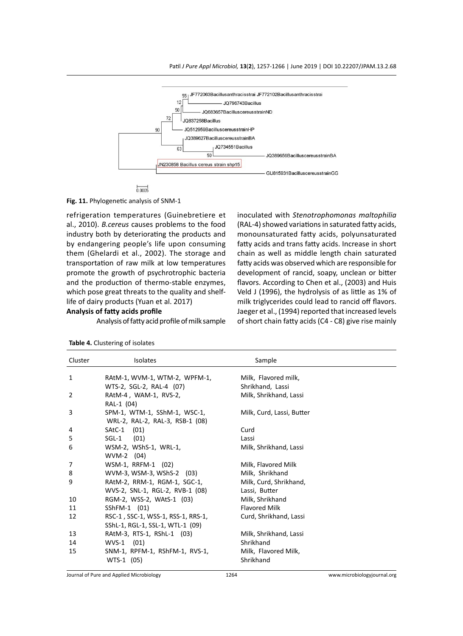





refrigeration temperatures (Guinebretiere et al., 2010). *B.cereus* causes problems to the food industry both by deteriorating the products and by endangering people's life upon consuming them (Ghelardi et al., 2002). The storage and transportation of raw milk at low temperatures promote the growth of psychrotrophic bacteria and the production of thermo-stable enzymes, which pose great threats to the quality and shelflife of dairy products (Yuan et al. 2017)

#### **Analysis of fatty acids profile**

Analysis of fatty acid profile of milk sample

inoculated with *Stenotrophomonas maltophilia* (RAL-4) showed variations in saturated fatty acids, monounsaturated fatty acids, polyunsaturated fatty acids and trans fatty acids. Increase in short chain as well as middle length chain saturated fatty acids was observed which are responsible for development of rancid, soapy, unclean or bitter flavors. According to Chen et al., (2003) and Huis Veld J (1996), the hydrolysis of as little as 1% of milk triglycerides could lead to rancid off flavors. Jaeger et al., (1994) reported that increased levels of short chain fatty acids (C4 - C8) give rise mainly

| Cluster | <b>Isolates</b>                                                 | Sample                                   |
|---------|-----------------------------------------------------------------|------------------------------------------|
| 1       | RAtM-1, WVM-1, WTM-2, WPFM-1,<br>WTS-2, SGL-2, RAL-4 (07)       | Milk, Flavored milk,<br>Shrikhand, Lassi |
| 2       | RAtM-4, WAM-1, RVS-2,<br>RAL-1 (04)                             | Milk, Shrikhand, Lassi                   |
| 3       | SPM-1, WTM-1, SShM-1, WSC-1,<br>WRL-2, RAL-2, RAL-3, RSB-1 (08) | Milk, Curd, Lassi, Butter                |
| 4       | SAtC-1 (01)                                                     | Curd                                     |
| 5       | (01)<br>$SGL-1$                                                 | Lassi                                    |
| 6       | WSM-2, WShS-1, WRL-1,                                           | Milk, Shrikhand, Lassi                   |
|         | WVM-2 (04)                                                      |                                          |
| 7       | WSM-1, RRFM-1 (02)                                              | Milk, Flavored Milk                      |
| 8       | WVM-3, WSM-3, WShS-2 (03)                                       | Milk, Shrikhand                          |
| 9       | RAtM-2, RRM-1, RGM-1, SGC-1,                                    | Milk, Curd, Shrikhand,                   |
|         | WVS-2, SNL-1, RGL-2, RVB-1 (08)                                 | Lassi, Butter                            |
| 10      | RGM-2, WSS-2, WAtS-1 (03)                                       | Milk, Shrikhand                          |
| 11      | SShFM-1 (01)                                                    | <b>Flavored Milk</b>                     |
| 12      | RSC-1, SSC-1, WSS-1, RSS-1, RRS-1,                              | Curd, Shrikhand, Lassi                   |
|         | SShL-1, RGL-1, SSL-1, WTL-1 (09)                                |                                          |
| 13      | RAtM-3, RTS-1, RShL-1 (03)                                      | Milk, Shrikhand, Lassi                   |
| 14      | $WVS-1$ (01)                                                    | Shrikhand                                |
| 15      | SNM-1, RPFM-1, RShFM-1, RVS-1,                                  | Milk, Flavored Milk,                     |
|         | WTS-1 (05)                                                      | Shrikhand                                |

|  | <b>Table 4.</b> Clustering of isolates |  |
|--|----------------------------------------|--|
|--|----------------------------------------|--|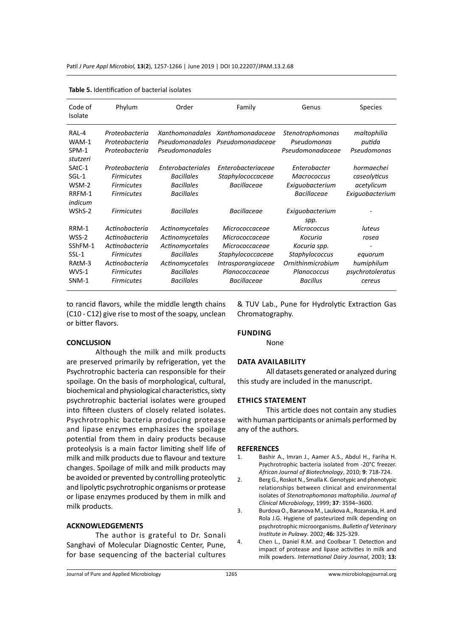| Code of<br>Isolate | Phylum            | Order             | Family                           | Genus              | <b>Species</b>   |
|--------------------|-------------------|-------------------|----------------------------------|--------------------|------------------|
| <b>RAI-4</b>       | Proteobacteria    |                   | Xanthomonadales Xanthomonadaceae | Stenotrophomonas   | maltophilia      |
| WAM-1              | Proteobacteria    | Pseudomonadales   | Pseudomonadaceae                 | Pseudomonas        | putida           |
| SPM-1<br>stutzeri  | Proteobacteria    | Pseudomonadales   |                                  | Pseudomonadaceae   | Pseudomonas      |
| SAtC-1             | Proteobacteria    | Enterobacteriales | Enterobacteriaceae               | Enterobacter       | hormaechei       |
| $SGL-1$            | <b>Firmicutes</b> | <b>Bacillales</b> | Staphylococcaceae                | <b>Macrococcus</b> | caseolyticus     |
| WSM-2              | <b>Firmicutes</b> | <b>Bacillales</b> | Bacillaceae                      | Exiguobacterium    | acetylicum       |
| RRFM-1             | <b>Firmicutes</b> | <b>Bacillales</b> |                                  | <b>Bacillaceae</b> | Exiguobacterium  |
| indicum            |                   |                   |                                  |                    |                  |
| WShS-2             | <b>Firmicutes</b> | <b>Bacillales</b> | Bacillaceae                      | Exiguobacterium    |                  |
|                    |                   |                   |                                  | spp.               |                  |
| RRM-1              | Actinobacteria    | Actinomycetales   | Micrococcaceae                   | Micrococcus        | luteus           |
| WSS-2              | Actinobacteria    | Actinomycetales   | Micrococcaceae                   | Kocuria            | rosea            |
| SShFM-1            | Actinobacteria    | Actinomycetales   | Micrococcaceae                   | Kocuria spp.       |                  |
| $SSL-1$            | <b>Firmicutes</b> | <b>Bacillales</b> | Staphylococcaceae                | Staphylococcus     | equorum          |
| RAtM-3             | Actinobacteria    | Actinomycetales   | Intrasporangiaceae               | Ornithinmicrobium  | humiphilum       |
| WVS-1              | <b>Firmicutes</b> | <b>Bacillales</b> | Planococcaceae                   | Planococcus        | psychrotoleratus |
| SNM-1              | <b>Firmicutes</b> | <b>Bacillales</b> | <b>Bacillaceae</b>               | <b>Bacillus</b>    | cereus           |

|  | <b>Table 5.</b> Identification of bacterial isolates |  |  |
|--|------------------------------------------------------|--|--|
|--|------------------------------------------------------|--|--|

to rancid flavors, while the middle length chains (C10 - C12) give rise to most of the soapy, unclean or bitter flavors.

### **CONCLUSION**

Although the milk and milk products are preserved primarily by refrigeration, yet the Psychrotrophic bacteria can responsible for their spoilage. On the basis of morphological, cultural, biochemical and physiological characteristics, sixty psychrotrophic bacterial isolates were grouped into fifteen clusters of closely related isolates. Psychrotrophic bacteria producing protease and lipase enzymes emphasizes the spoilage potential from them in dairy products because proteolysis is a main factor limiting shelf life of milk and milk products due to flavour and texture changes. Spoilage of milk and milk products may be avoided or prevented by controlling proteolytic and lipolytic psychrotrophic organisms or protease or lipase enzymes produced by them in milk and milk products.

# **ACKNOWLEDGEMENTS**

The author is grateful to Dr. Sonali Sanghavi of Molecular Diagnostic Center, Pune, for base sequencing of the bacterial cultures & TUV Lab., Pune for Hydrolytic Extraction Gas Chromatography.

# **Funding**

None

#### **Data availability**

All datasets generated or analyzed during this study are included in the manuscript.

#### **Ethics Statement**

This article does not contain any studies with human participants or animals performed by any of the authors.

#### **REFERENCES**

- 1. Bashir A., Imran J., Aamer A.S., Abdul H., Fariha H. Psychrotrophic bacteria isolated from -20°C freezer. *African Journal of Biotechnology*, 2010; **9**: 718-724.
- 2. Berg G., Roskot N., Smalla K. Genotypic and phenotypic relationships between clinical and environmental isolates of *Stenotrophomonas maltophilia*. *Journal of Clinical Microbiology*, 1999; **37**: 3594–3600.
- 3. Burdova O., Baranova M., Laukova A., Rozanska, H. and Rola J.G. Hygiene of pasteurized milk depending on psychrotrophic microorganisms. *Bulletin of Veterinary Institute in Pulawy*. 2002; **46:** 325-329.
- 4. Chen L., Daniel R.M. and Coolbear T. Detection and impact of protease and lipase activities in milk and milk powders. *International Dairy Journal*, 2003; **13:**